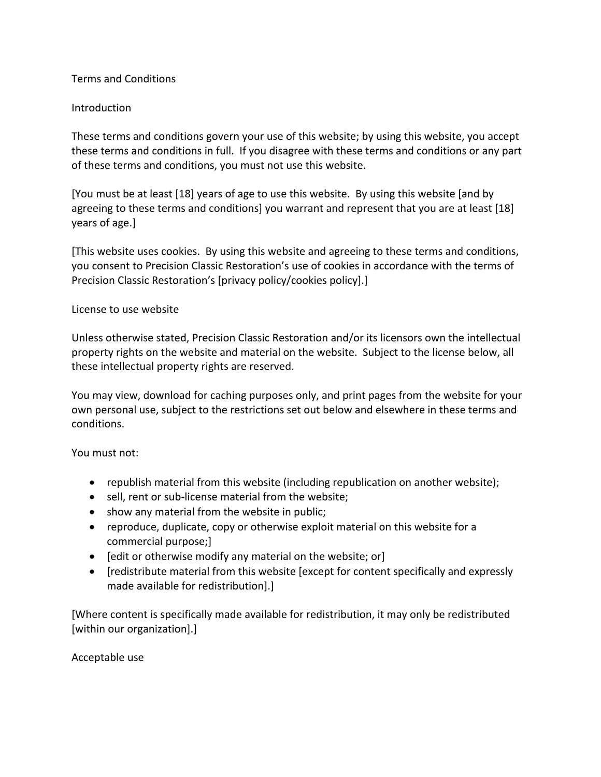## Terms and Conditions

# Introduction

These terms and conditions govern your use of this website; by using this website, you accept these terms and conditions in full. If you disagree with these terms and conditions or any part of these terms and conditions, you must not use this website.

[You must be at least [18] years of age to use this website. By using this website [and by agreeing to these terms and conditions] you warrant and represent that you are at least [18] years of age.]

[This website uses cookies. By using this website and agreeing to these terms and conditions, you consent to Precision Classic Restoration's use of cookies in accordance with the terms of Precision Classic Restoration's [privacy policy/cookies policy].]

## License to use website

Unless otherwise stated, Precision Classic Restoration and/or its licensors own the intellectual property rights on the website and material on the website. Subject to the license below, all these intellectual property rights are reserved.

You may view, download for caching purposes only, and print pages from the website for your own personal use, subject to the restrictions set out below and elsewhere in these terms and conditions.

## You must not:

- republish material from this website (including republication on another website);
- sell, rent or sub-license material from the website;
- show any material from the website in public;
- reproduce, duplicate, copy or otherwise exploit material on this website for a commercial purpose;]
- [edit or otherwise modify any material on the website; or]
- [redistribute material from this website [except for content specifically and expressly made available for redistribution].]

[Where content is specifically made available for redistribution, it may only be redistributed [within our organization].]

Acceptable use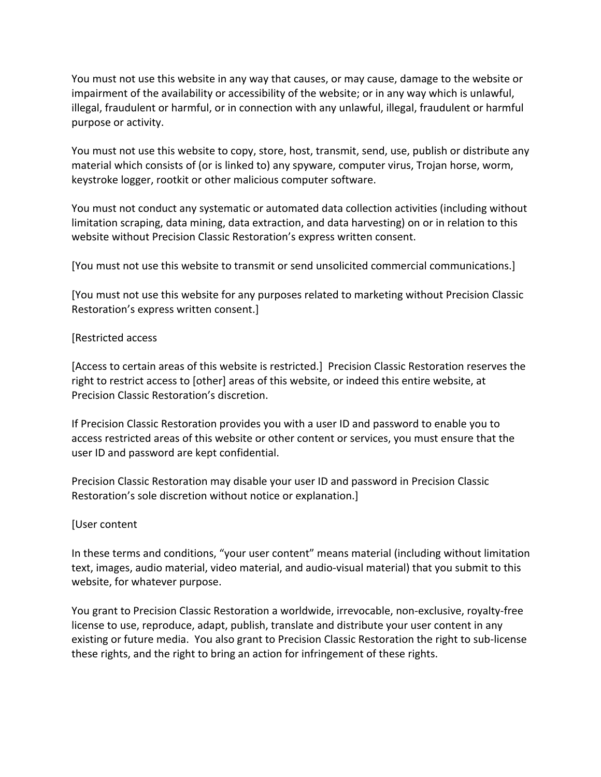You must not use this website in any way that causes, or may cause, damage to the website or impairment of the availability or accessibility of the website; or in any way which is unlawful, illegal, fraudulent or harmful, or in connection with any unlawful, illegal, fraudulent or harmful purpose or activity.

You must not use this website to copy, store, host, transmit, send, use, publish or distribute any material which consists of (or is linked to) any spyware, computer virus, Trojan horse, worm, keystroke logger, rootkit or other malicious computer software.

You must not conduct any systematic or automated data collection activities (including without limitation scraping, data mining, data extraction, and data harvesting) on or in relation to this website without Precision Classic Restoration's express written consent.

[You must not use this website to transmit or send unsolicited commercial communications.]

[You must not use this website for any purposes related to marketing without Precision Classic Restoration's express written consent.]

### [Restricted access

[Access to certain areas of this website is restricted.] Precision Classic Restoration reserves the right to restrict access to [other] areas of this website, or indeed this entire website, at Precision Classic Restoration's discretion.

If Precision Classic Restoration provides you with a user ID and password to enable you to access restricted areas of this website or other content or services, you must ensure that the user ID and password are kept confidential.

Precision Classic Restoration may disable your user ID and password in Precision Classic Restoration's sole discretion without notice or explanation.]

#### [User content

In these terms and conditions, "your user content" means material (including without limitation text, images, audio material, video material, and audio-visual material) that you submit to this website, for whatever purpose.

You grant to Precision Classic Restoration a worldwide, irrevocable, non-exclusive, royalty-free license to use, reproduce, adapt, publish, translate and distribute your user content in any existing or future media. You also grant to Precision Classic Restoration the right to sub-license these rights, and the right to bring an action for infringement of these rights.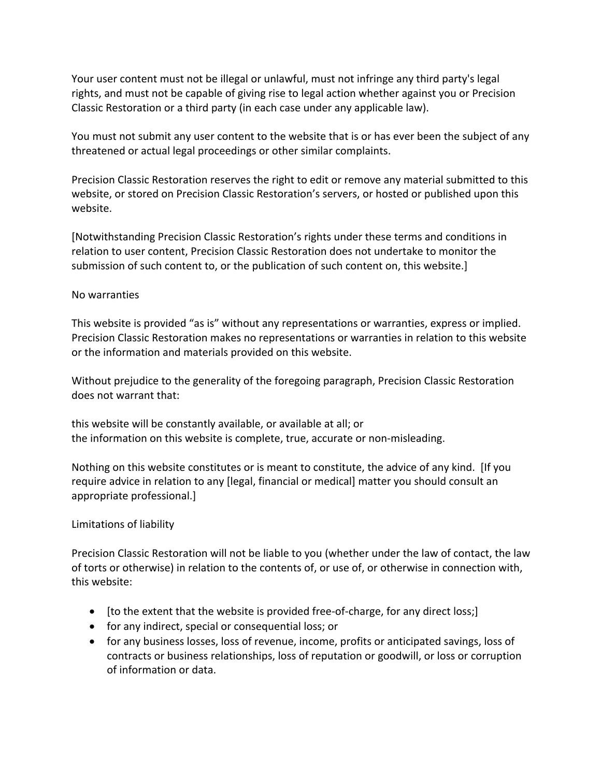Your user content must not be illegal or unlawful, must not infringe any third party's legal rights, and must not be capable of giving rise to legal action whether against you or Precision Classic Restoration or a third party (in each case under any applicable law).

You must not submit any user content to the website that is or has ever been the subject of any threatened or actual legal proceedings or other similar complaints.

Precision Classic Restoration reserves the right to edit or remove any material submitted to this website, or stored on Precision Classic Restoration's servers, or hosted or published upon this website.

[Notwithstanding Precision Classic Restoration's rights under these terms and conditions in relation to user content, Precision Classic Restoration does not undertake to monitor the submission of such content to, or the publication of such content on, this website.]

## No warranties

This website is provided "as is" without any representations or warranties, express or implied. Precision Classic Restoration makes no representations or warranties in relation to this website or the information and materials provided on this website.

Without prejudice to the generality of the foregoing paragraph, Precision Classic Restoration does not warrant that:

this website will be constantly available, or available at all; or the information on this website is complete, true, accurate or non-misleading.

Nothing on this website constitutes or is meant to constitute, the advice of any kind. [If you require advice in relation to any [legal, financial or medical] matter you should consult an appropriate professional.]

## Limitations of liability

Precision Classic Restoration will not be liable to you (whether under the law of contact, the law of torts or otherwise) in relation to the contents of, or use of, or otherwise in connection with, this website:

- [to the extent that the website is provided free-of-charge, for any direct loss;]
- for any indirect, special or consequential loss; or
- for any business losses, loss of revenue, income, profits or anticipated savings, loss of contracts or business relationships, loss of reputation or goodwill, or loss or corruption of information or data.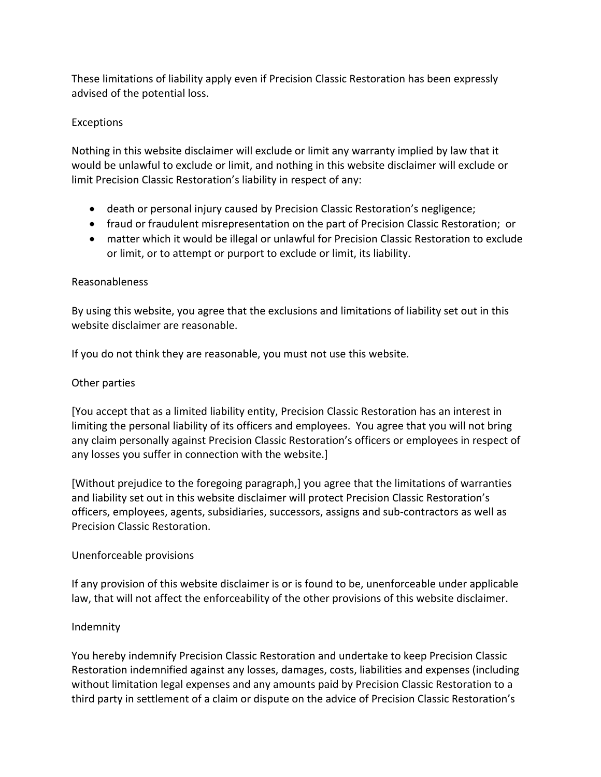These limitations of liability apply even if Precision Classic Restoration has been expressly advised of the potential loss.

### Exceptions

Nothing in this website disclaimer will exclude or limit any warranty implied by law that it would be unlawful to exclude or limit, and nothing in this website disclaimer will exclude or limit Precision Classic Restoration's liability in respect of any:

- death or personal injury caused by Precision Classic Restoration's negligence;
- fraud or fraudulent misrepresentation on the part of Precision Classic Restoration; or
- matter which it would be illegal or unlawful for Precision Classic Restoration to exclude or limit, or to attempt or purport to exclude or limit, its liability.

#### Reasonableness

By using this website, you agree that the exclusions and limitations of liability set out in this website disclaimer are reasonable.

If you do not think they are reasonable, you must not use this website.

### Other parties

[You accept that as a limited liability entity, Precision Classic Restoration has an interest in limiting the personal liability of its officers and employees. You agree that you will not bring any claim personally against Precision Classic Restoration's officers or employees in respect of any losses you suffer in connection with the website.]

[Without prejudice to the foregoing paragraph,] you agree that the limitations of warranties and liability set out in this website disclaimer will protect Precision Classic Restoration's officers, employees, agents, subsidiaries, successors, assigns and sub-contractors as well as Precision Classic Restoration.

#### Unenforceable provisions

If any provision of this website disclaimer is or is found to be, unenforceable under applicable law, that will not affect the enforceability of the other provisions of this website disclaimer.

## Indemnity

You hereby indemnify Precision Classic Restoration and undertake to keep Precision Classic Restoration indemnified against any losses, damages, costs, liabilities and expenses (including without limitation legal expenses and any amounts paid by Precision Classic Restoration to a third party in settlement of a claim or dispute on the advice of Precision Classic Restoration's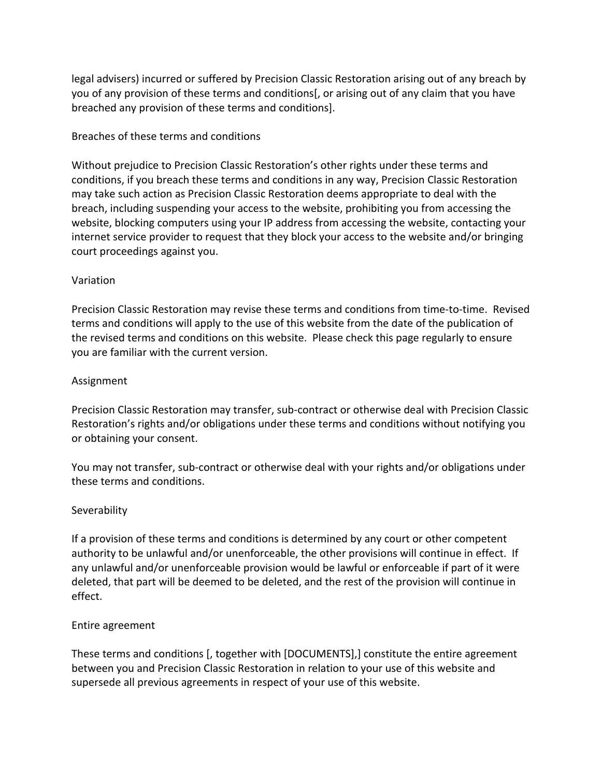legal advisers) incurred or suffered by Precision Classic Restoration arising out of any breach by you of any provision of these terms and conditions[, or arising out of any claim that you have breached any provision of these terms and conditions].

### Breaches of these terms and conditions

Without prejudice to Precision Classic Restoration's other rights under these terms and conditions, if you breach these terms and conditions in any way, Precision Classic Restoration may take such action as Precision Classic Restoration deems appropriate to deal with the breach, including suspending your access to the website, prohibiting you from accessing the website, blocking computers using your IP address from accessing the website, contacting your internet service provider to request that they block your access to the website and/or bringing court proceedings against you.

### Variation

Precision Classic Restoration may revise these terms and conditions from time-to-time. Revised terms and conditions will apply to the use of this website from the date of the publication of the revised terms and conditions on this website. Please check this page regularly to ensure you are familiar with the current version.

### Assignment

Precision Classic Restoration may transfer, sub-contract or otherwise deal with Precision Classic Restoration's rights and/or obligations under these terms and conditions without notifying you or obtaining your consent.

You may not transfer, sub-contract or otherwise deal with your rights and/or obligations under these terms and conditions.

#### **Severability**

If a provision of these terms and conditions is determined by any court or other competent authority to be unlawful and/or unenforceable, the other provisions will continue in effect. If any unlawful and/or unenforceable provision would be lawful or enforceable if part of it were deleted, that part will be deemed to be deleted, and the rest of the provision will continue in effect.

#### Entire agreement

These terms and conditions [, together with [DOCUMENTS],] constitute the entire agreement between you and Precision Classic Restoration in relation to your use of this website and supersede all previous agreements in respect of your use of this website.